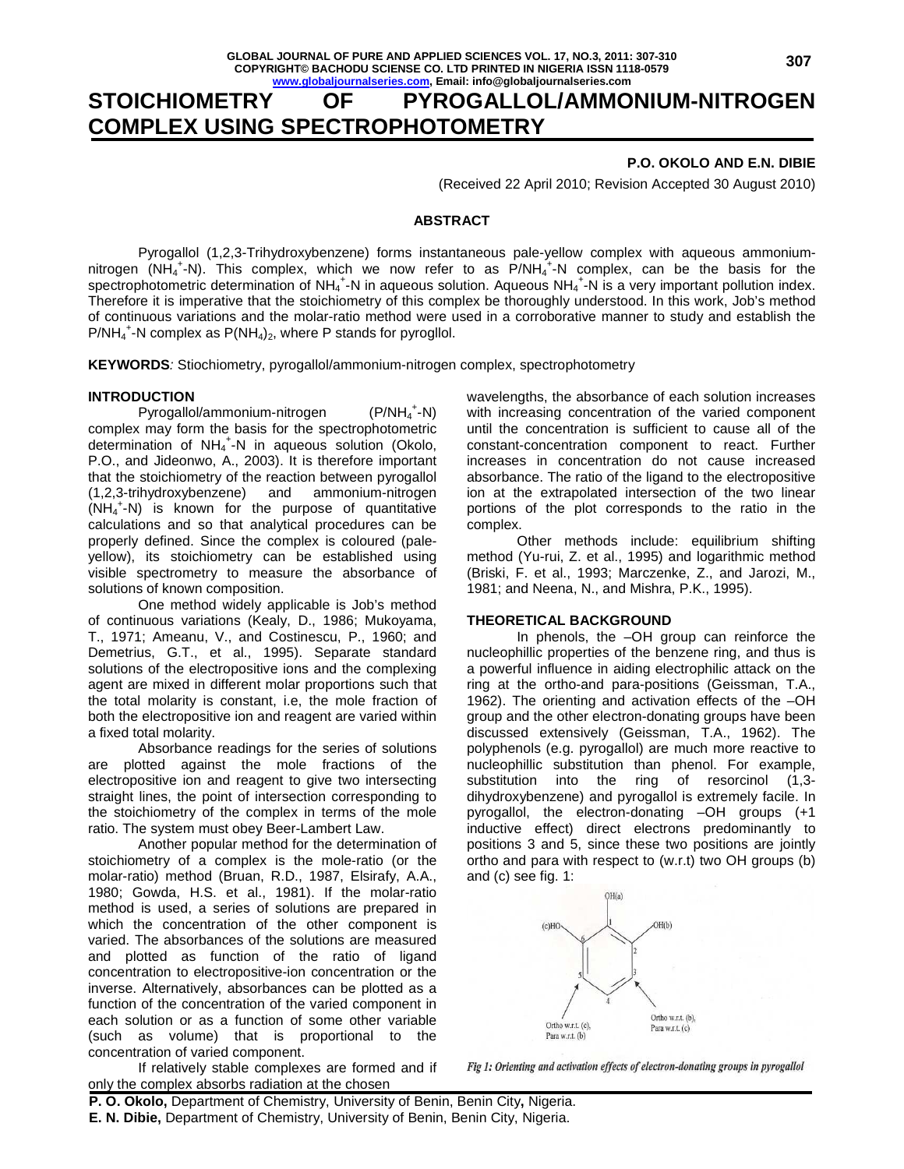# **STOICHIOMETRY OF PYROGALLOL/AMMONIUM-NITROGEN COMPLEX USING SPECTROPHOTOMETRY**

### **P.O. OKOLO AND E.N. DIBIE**

(Received 22 April 2010; Revision Accepted 30 August 2010)

### **ABSTRACT**

 Pyrogallol (1,2,3-Trihydroxybenzene) forms instantaneous pale-yellow complex with aqueous ammoniumnitrogen  $(NH_4^+N)$ . This complex, which we now refer to as  $P/NH_4^+N$  complex, can be the basis for the spectrophotometric determination of NH<sub>4</sub><sup>+</sup>-N in aqueous solution. Aqueous NH<sub>4</sub><sup>+</sup>-N is a very important pollution index. Therefore it is imperative that the stoichiometry of this complex be thoroughly understood. In this work, Job's method of continuous variations and the molar-ratio method were used in a corroborative manner to study and establish the  $P/NH_4^+$ -N complex as  $P(NH_4)_2$ , where P stands for pyrogliol.

**KEYWORDS**: Stiochiometry, pyrogallol/ammonium-nitrogen complex, spectrophotometry

### **INTRODUCTION**

Pyrogallol/ammonium-nitrogen  $+$ -N) complex may form the basis for the spectrophotometric determination of NH<sub>4</sub><sup>+</sup>-N in aqueous solution (Okolo, P.O., and Jideonwo, A., 2003). It is therefore important that the stoichiometry of the reaction between pyrogallol (1,2,3-trihydroxybenzene) and ammonium-nitrogen (NH<sup>4</sup> + -N) is known for the purpose of quantitative calculations and so that analytical procedures can be properly defined. Since the complex is coloured (paleyellow), its stoichiometry can be established using visible spectrometry to measure the absorbance of solutions of known composition.

 One method widely applicable is Job's method of continuous variations (Kealy, D., 1986; Mukoyama, T., 1971; Ameanu, V., and Costinescu, P., 1960; and Demetrius, G.T., et al., 1995). Separate standard solutions of the electropositive ions and the complexing agent are mixed in different molar proportions such that the total molarity is constant, i.e, the mole fraction of both the electropositive ion and reagent are varied within a fixed total molarity.

 Absorbance readings for the series of solutions are plotted against the mole fractions of the electropositive ion and reagent to give two intersecting straight lines, the point of intersection corresponding to the stoichiometry of the complex in terms of the mole ratio. The system must obey Beer-Lambert Law.

 Another popular method for the determination of stoichiometry of a complex is the mole-ratio (or the molar-ratio) method (Bruan, R.D., 1987, Elsirafy, A.A., 1980; Gowda, H.S. et al., 1981). If the molar-ratio method is used, a series of solutions are prepared in which the concentration of the other component is varied. The absorbances of the solutions are measured and plotted as function of the ratio of ligand concentration to electropositive-ion concentration or the inverse. Alternatively, absorbances can be plotted as a function of the concentration of the varied component in each solution or as a function of some other variable (such as volume) that is proportional to the concentration of varied component.

 If relatively stable complexes are formed and if only the complex absorbs radiation at the chosen

wavelengths, the absorbance of each solution increases with increasing concentration of the varied component until the concentration is sufficient to cause all of the constant-concentration component to react. Further increases in concentration do not cause increased absorbance. The ratio of the ligand to the electropositive ion at the extrapolated intersection of the two linear portions of the plot corresponds to the ratio in the complex.

 Other methods include: equilibrium shifting method (Yu-rui, Z. et al., 1995) and logarithmic method (Briski, F. et al., 1993; Marczenke, Z., and Jarozi, M., 1981; and Neena, N., and Mishra, P.K., 1995).

### **THEORETICAL BACKGROUND**

 In phenols, the –OH group can reinforce the nucleophillic properties of the benzene ring, and thus is a powerful influence in aiding electrophilic attack on the ring at the ortho-and para-positions (Geissman, T.A., 1962). The orienting and activation effects of the –OH group and the other electron-donating groups have been discussed extensively (Geissman, T.A., 1962). The polyphenols (e.g. pyrogallol) are much more reactive to nucleophillic substitution than phenol. For example, substitution into the ring of resorcinol (1,3 dihydroxybenzene) and pyrogallol is extremely facile. In pyrogallol, the electron-donating –OH groups (+1 inductive effect) direct electrons predominantly to positions 3 and 5, since these two positions are jointly ortho and para with respect to (w.r.t) two OH groups (b) and (c) see fig. 1:



Fig 1: Orienting and activation effects of electron-donating groups in pyrogallol

**P. O. Okolo,** Department of Chemistry, University of Benin, Benin City**,** Nigeria.

**E. N. Dibie,** Department of Chemistry, University of Benin, Benin City, Nigeria.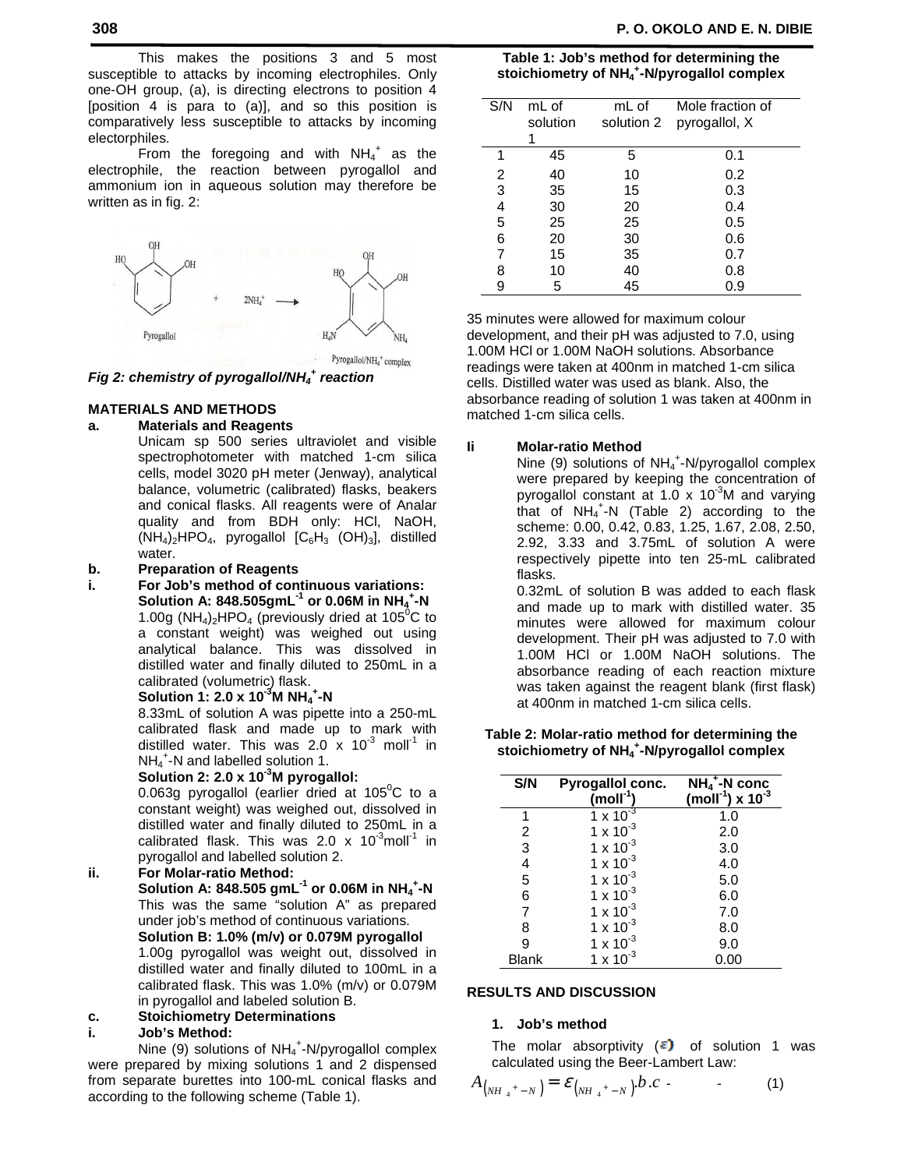This makes the positions 3 and 5 most susceptible to attacks by incoming electrophiles. Only one-OH group, (a), is directing electrons to position 4 [position 4 is para to (a)], and so this position is comparatively less susceptible to attacks by incoming electorphiles.

From the foregoing and with  $NH_4^+$  as the electrophile, the reaction between pyrogallol and ammonium ion in aqueous solution may therefore be written as in fig. 2:



Pyrogallol/NH<sub>4</sub>+ complex

# **Fig 2: chemistry of pyrogallol/NH<sup>4</sup> + reaction**

### **MATERIALS AND METHODS**

### **a. Materials and Reagents**

 Unicam sp 500 series ultraviolet and visible spectrophotometer with matched 1-cm silica cells, model 3020 pH meter (Jenway), analytical balance, volumetric (calibrated) flasks, beakers and conical flasks. All reagents were of Analar quality and from BDH only: HCl, NaOH,  $(NH_4)_2HPO_4$ , pyrogallol  $[C_6H_3 (OH)_3]$ , distilled water.

### **b. Preparation of Reagents**

**i. For Job's method of continuous variations: Solution A: 848.505gmL-1 or 0.06M in NH<sup>4</sup> + -N**  1.00g (NH<sub>4</sub>)<sub>2</sub>HPO<sub>4</sub> (previously dried at 105<sup>°</sup>C to a constant weight) was weighed out using analytical balance. This was dissolved in distilled water and finally diluted to 250mL in a calibrated (volumetric) flask.

## **Solution 1: 2.0 x 10-3M NH<sup>4</sup> + -N**

 8.33mL of solution A was pipette into a 250-mL calibrated flask and made up to mark with distilled water. This was 2.0 x  $10^{-3}$  moll<sup>1</sup> in NH<sub>4</sub><sup>+</sup>-N and labelled solution 1.

### **Solution 2: 2.0 x 10-3M pyrogallol:**

0.063g pyrogallol (earlier dried at  $105^{\circ}$ C to a constant weight) was weighed out, dissolved in distilled water and finally diluted to 250mL in a calibrated flask. This was 2.0 x  $10^{-3}$  moll<sup>-1</sup> in pyrogallol and labelled solution 2.

# **ii. For Molar-ratio Method:**

 **Solution A: 848.505 gmL-1 or 0.06M in NH<sup>4</sup> + -N**  This was the same "solution A" as prepared under job's method of continuous variations.  **Solution B: 1.0% (m/v) or 0.079M pyrogallol**  1.00g pyrogallol was weight out, dissolved in distilled water and finally diluted to 100mL in a calibrated flask. This was 1.0% (m/v) or 0.079M

# in pyrogallol and labeled solution B.

# **c. Stoichiometry Determinations**

### **i. Job's Method:**

Nine (9) solutions of  $NH_4^+$ -N/pyrogallol complex were prepared by mixing solutions 1 and 2 dispensed from separate burettes into 100-mL conical flasks and according to the following scheme (Table 1).

| Table 1: Job's method for determining the                           |
|---------------------------------------------------------------------|
| stoichiometry of NH <sub>4</sub> <sup>+</sup> -N/pyrogallol complex |

| S/N | mL of<br>solution | mL of<br>solution 2 | Mole fraction of<br>pyrogallol, X |
|-----|-------------------|---------------------|-----------------------------------|
| 1   | 45                | 5                   | 0.1                               |
| 2   | 40                | 10                  | 0.2                               |
| 3   | 35                | 15                  | 0.3                               |
| 4   | 30                | 20                  | 0.4                               |
| 5   | 25                | 25                  | 0.5                               |
| 6   | 20                | 30                  | 0.6                               |
| 7   | 15                | 35                  | 0.7                               |
| 8   | 10                | 40                  | 0.8                               |
| 9   | 5                 | 45                  | 0.9                               |

35 minutes were allowed for maximum colour development, and their pH was adjusted to 7.0, using 1.00M HCl or 1.00M NaOH solutions. Absorbance readings were taken at 400nm in matched 1-cm silica cells. Distilled water was used as blank. Also, the absorbance reading of solution 1 was taken at 400nm in matched 1-cm silica cells.

### **Ii Molar-ratio Method**

Nine (9) solutions of  $NH_4^+$ -N/pyrogallol complex were prepared by keeping the concentration of pyrogallol constant at 1.0 x 10<sup>-3</sup>M and varying that of  $NH_4^+$ -N (Table 2) according to the scheme: 0.00, 0.42, 0.83, 1.25, 1.67, 2.08, 2.50, 2.92, 3.33 and 3.75mL of solution A were respectively pipette into ten 25-mL calibrated flasks.

> 0.32mL of solution B was added to each flask and made up to mark with distilled water. 35 minutes were allowed for maximum colour development. Their pH was adjusted to 7.0 with 1.00M HCl or 1.00M NaOH solutions. The absorbance reading of each reaction mixture was taken against the reagent blank (first flask) at 400nm in matched 1-cm silica cells.

### **Table 2: Molar-ratio method for determining the stoichiometry of NH<sup>4</sup> + -N/pyrogallol complex**

| S/N   | Pyrogallol conc.<br>$(moll-1)$ | $NH_4$ <sup>+</sup> -N conc<br>(moll <sup>-1</sup> ) x $10^{-3}$ |
|-------|--------------------------------|------------------------------------------------------------------|
| 1     | $1 \times 10^{-3}$             | 1.0                                                              |
| 2     | $1 \times 10^{-3}$             | 2.0                                                              |
| 3     | $1 \times 10^{-3}$             | 3.0                                                              |
| 4     | $1 \times 10^{-3}$             | 4.0                                                              |
| 5     | $1 \times 10^{-3}$             | 5.0                                                              |
| 6     | $1 \times 10^{-3}$             | 6.0                                                              |
| 7     | $1 \times 10^{-3}$             | 7.0                                                              |
| 8     | $1 \times 10^{-3}$             | 8.0                                                              |
| 9     | $1 \times 10^{-3}$             | 9.0                                                              |
| Blank | $1 \times 10^{-3}$             | 0.00                                                             |

### **RESULTS AND DISCUSSION**

### **1. Job's method**

The molar absorptivity  $(\epsilon)$  of solution 1 was calculated using the Beer-Lambert Law:

$$
A_{(NH_4^+-N)} = \mathcal{E}_{(NH_4^+-N)} b.c
$$
 (1)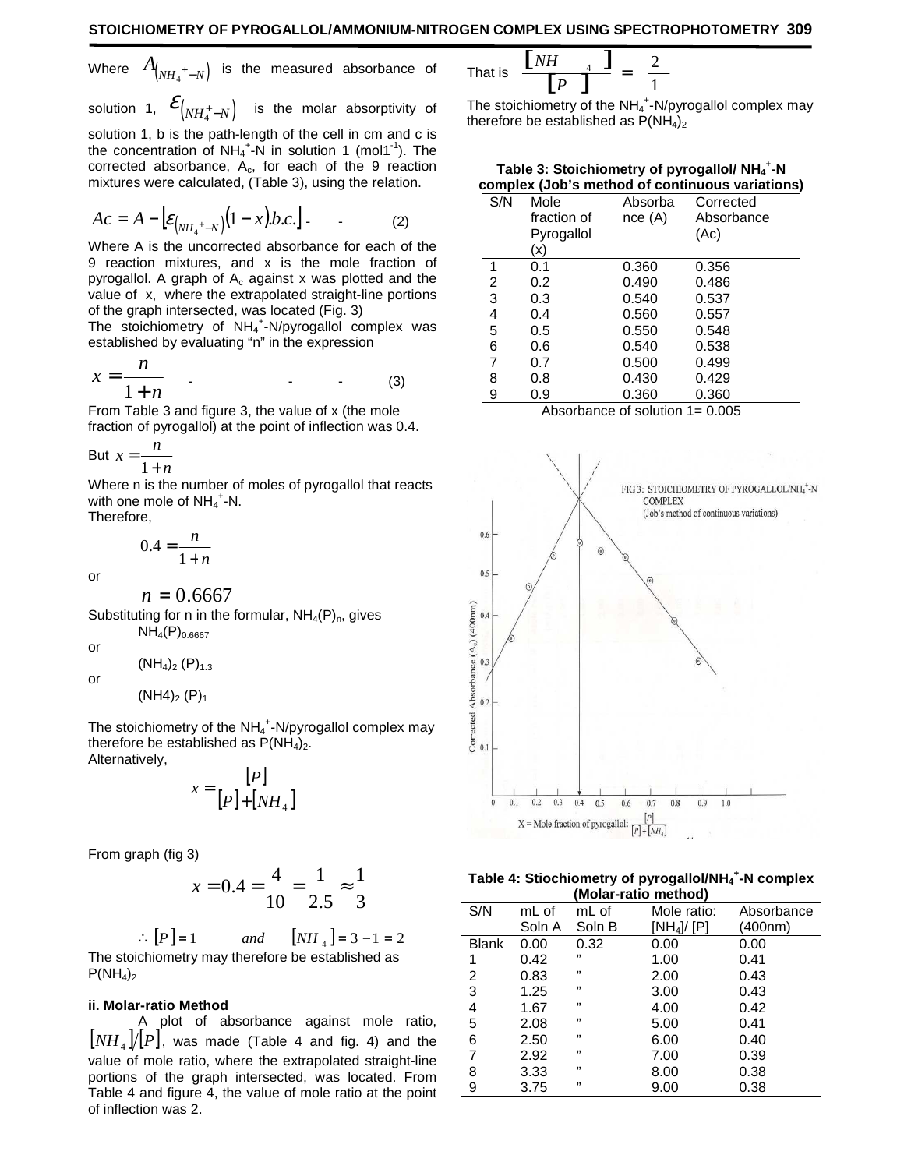Where 
$$
A_{(NH_4^+-N)}
$$
 is the measured absorbance of

solution 1,  $\mathcal{E}_{\left( NH_4^+-N\right)}$  is the molar absorptivity of solution 1, b is the path-length of the cell in cm and c is the concentration of  $NH_4^+$ -N in solution 1 (mol1<sup>-1</sup>). The corrected absorbance,  $A_c$ , for each of the 9 reaction mixtures were calculated, (Table 3), using the relation.

$$
Ac = A - \left[ \varepsilon_{(NH_4^{-+} - N)} (1 - x) b.c. \right].
$$
 (2)

Where A is the uncorrected absorbance for each of the 9 reaction mixtures, and x is the mole fraction of pyrogallol. A graph of  $A_c$  against x was plotted and the value of x, where the extrapolated straight-line portions of the graph intersected, was located (Fig. 3)

The stoichiometry of  $NH_4$ <sup>+</sup>-N/pyrogallol complex was established by evaluating "n" in the expression

$$
x = \frac{n}{1+n} \qquad (3)
$$

From Table 3 and figure 3, the value of x (the mole fraction of pyrogallol) at the point of inflection was 0.4.

$$
But x = \frac{n}{1+n}
$$

Where n is the number of moles of pyrogallol that reacts with one mole of  $NH_4$ <sup>+</sup>-N.

Therefore,

$$
0.4 = \frac{n}{1+n}
$$

or

 $n = 0.6667$ 

Substituting for n in the formular,  $NH_4(P)_n$ , gives  $NH_4(P)_{0.6667}$ 

or

 $(NH_4)_2$   $(P)_{1.3}$ 

or

 $(NH4)_2$  (P)<sub>1</sub>

The stoichiometry of the  $NH_4$ <sup>+</sup>-N/pyrogallol complex may therefore be established as  $P(NH_4)_2$ . Alternatively,

$$
x = \frac{[P]}{[P] + [NH_{4}]}
$$

From graph (fig 3)

$$
x = 0.4 = \frac{4}{10} = \frac{1}{2.5} \approx \frac{1}{3}
$$

 $\therefore$   $[P] = 1$  *and*  $[MH_4] = 3 - 1 = 2$ The stoichiometry may therefore be established as  $P(NH_4)_2$ 

### **ii. Molar-ratio Method**

 A plot of absorbance against mole ratio,  $\lfloor NH_{4} \rfloor/\lfloor P \rfloor$ , was made (Table 4 and fig. 4) and the value of mole ratio, where the extrapolated straight-line portions of the graph intersected, was located. From Table 4 and figure 4, the value of mole ratio at the point of inflection was 2.

That is 
$$
\frac{\begin{bmatrix} NH & 1 \end{bmatrix}}{\begin{bmatrix} P & 1 \end{bmatrix}} = \frac{2}{1}
$$

The stoichiometry of the  $NH_4^+$ -N/pyrogallol complex may therefore be established as  $P(NH_4)_2$ 

| Table 3: Stoichiometry of pyrogallol/ NH <sub>4</sub> <sup>+</sup> -N |
|-----------------------------------------------------------------------|
| complex (Job's method of continuous variations)                       |

| S/N                                                   | Mole<br>fraction of | Absorba<br>nce(A) | Corrected<br>Absorbance |
|-------------------------------------------------------|---------------------|-------------------|-------------------------|
|                                                       | Pyrogallol          |                   | (Ac)                    |
|                                                       | (x)                 |                   |                         |
| 1                                                     | 0.1                 | 0.360             | 0.356                   |
| 2                                                     | 0.2                 | 0.490             | 0.486                   |
| 3                                                     | 0.3                 | 0.540             | 0.537                   |
| 4                                                     | 0.4                 | 0.560             | 0.557                   |
| 5                                                     | 0.5                 | 0.550             | 0.548                   |
| 6                                                     | 0.6                 | 0.540             | 0.538                   |
| 7                                                     | 0.7                 | 0.500             | 0.499                   |
| 8                                                     | 0.8                 | 0.430             | 0.429                   |
| 9                                                     | 0.9                 | 0.360             | 0.360                   |
| $\Lambda$ booshonaa af aalutan 1<br>$\Omega$ $\Omega$ |                     |                   |                         |





**Table 4: Stiochiometry of pyrogallol/NH<sup>4</sup> + -N complex (Molar-ratio method)** 

| S/N          | mL of  | mL of  | Mole ratio: | Absorbance |
|--------------|--------|--------|-------------|------------|
|              | Soln A | Soln B | [NH4]/ [P]  | (400nm)    |
| <b>Blank</b> | 0.00   | 0.32   | 0.00        | 0.00       |
| 1            | 0.42   | ,,     | 1.00        | 0.41       |
| 2            | 0.83   | ,,     | 2.00        | 0.43       |
| 3            | 1.25   | ,,     | 3.00        | 0.43       |
| 4            | 1.67   | ,,     | 4.00        | 0.42       |
| 5            | 2.08   | ,,     | 5.00        | 0.41       |
| 6            | 2.50   | ,,     | 6.00        | 0.40       |
| 7            | 2.92   | ,,     | 7.00        | 0.39       |
| 8            | 3.33   | ,,     | 8.00        | 0.38       |
| 9            | 3.75   | ,,     | 9.00        | 0.38       |